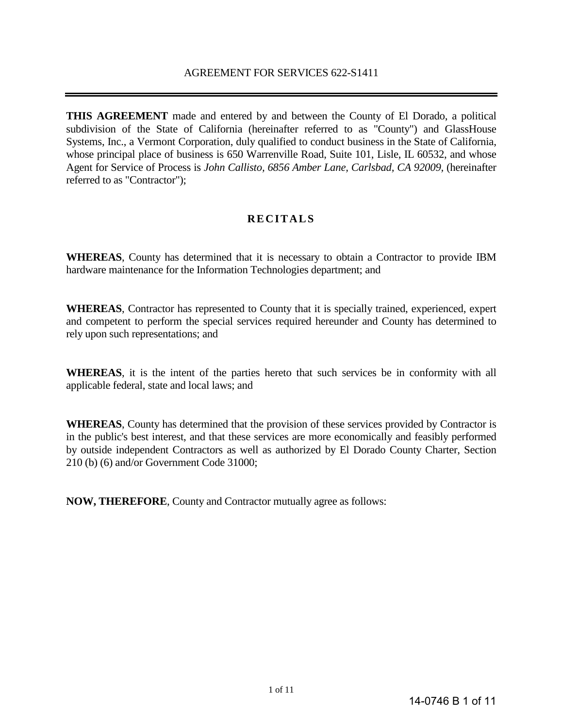**THIS AGREEMENT** made and entered by and between the County of El Dorado, a political subdivision of the State of California (hereinafter referred to as "County") and GlassHouse Systems, Inc., a Vermont Corporation, duly qualified to conduct business in the State of California, whose principal place of business is 650 Warrenville Road, Suite 101, Lisle, IL 60532, and whose Agent for Service of Process is *John Callisto, 6856 Amber Lane, Carlsbad, CA 92009,* (hereinafter referred to as "Contractor");

# **RECITALS**

**WHEREAS**, County has determined that it is necessary to obtain a Contractor to provide IBM hardware maintenance for the Information Technologies department; and

**WHEREAS**, Contractor has represented to County that it is specially trained, experienced, expert and competent to perform the special services required hereunder and County has determined to rely upon such representations; and

**WHEREAS**, it is the intent of the parties hereto that such services be in conformity with all applicable federal, state and local laws; and

**WHEREAS**, County has determined that the provision of these services provided by Contractor is in the public's best interest, and that these services are more economically and feasibly performed by outside independent Contractors as well as authorized by El Dorado County Charter, Section 210 (b) (6) and/or Government Code 31000;

**NOW, THEREFORE**, County and Contractor mutually agree as follows: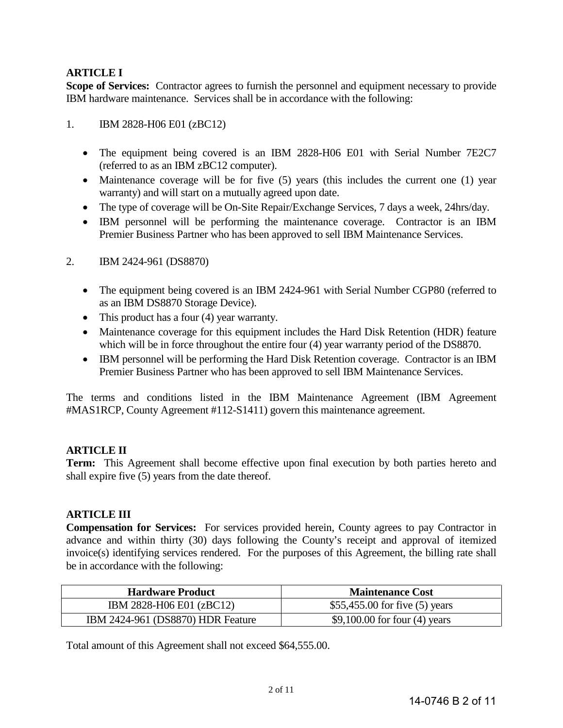# **ARTICLE I**

**Scope of Services:** Contractor agrees to furnish the personnel and equipment necessary to provide IBM hardware maintenance. Services shall be in accordance with the following:

### 1. IBM 2828-H06 E01 (zBC12)

- The equipment being covered is an IBM 2828-H06 E01 with Serial Number 7E2C7 (referred to as an IBM zBC12 computer).
- Maintenance coverage will be for five (5) years (this includes the current one (1) year warranty) and will start on a mutually agreed upon date.
- The type of coverage will be On-Site Repair/Exchange Services, 7 days a week, 24hrs/day.
- IBM personnel will be performing the maintenance coverage. Contractor is an IBM Premier Business Partner who has been approved to sell IBM Maintenance Services.

### 2. IBM 2424-961 (DS8870)

- The equipment being covered is an IBM 2424-961 with Serial Number CGP80 (referred to as an IBM DS8870 Storage Device).
- This product has a four (4) year warranty.
- Maintenance coverage for this equipment includes the Hard Disk Retention (HDR) feature which will be in force throughout the entire four (4) year warranty period of the DS8870.
- IBM personnel will be performing the Hard Disk Retention coverage. Contractor is an IBM Premier Business Partner who has been approved to sell IBM Maintenance Services.

The terms and conditions listed in the IBM Maintenance Agreement (IBM Agreement #MAS1RCP, County Agreement #112-S1411) govern this maintenance agreement.

## **ARTICLE II**

**Term:** This Agreement shall become effective upon final execution by both parties hereto and shall expire five (5) years from the date thereof.

### **ARTICLE III**

**Compensation for Services:** For services provided herein, County agrees to pay Contractor in advance and within thirty (30) days following the County's receipt and approval of itemized invoice(s) identifying services rendered. For the purposes of this Agreement, the billing rate shall be in accordance with the following:

| <b>Hardware Product</b>           | <b>Maintenance Cost</b>          |
|-----------------------------------|----------------------------------|
| IBM 2828-H06 E01 (zBC12)          | \$55,455.00 for five $(5)$ years |
| IBM 2424-961 (DS8870) HDR Feature | $$9,100.00$ for four (4) years   |

Total amount of this Agreement shall not exceed \$64,555.00.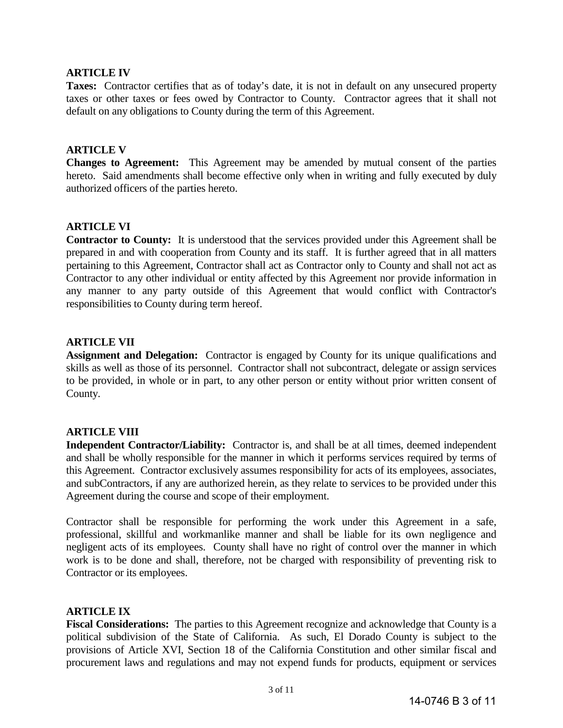### **ARTICLE IV**

**Taxes:** Contractor certifies that as of today's date, it is not in default on any unsecured property taxes or other taxes or fees owed by Contractor to County. Contractor agrees that it shall not default on any obligations to County during the term of this Agreement.

### **ARTICLE V**

**Changes to Agreement:** This Agreement may be amended by mutual consent of the parties hereto. Said amendments shall become effective only when in writing and fully executed by duly authorized officers of the parties hereto.

### **ARTICLE VI**

**Contractor to County:** It is understood that the services provided under this Agreement shall be prepared in and with cooperation from County and its staff. It is further agreed that in all matters pertaining to this Agreement, Contractor shall act as Contractor only to County and shall not act as Contractor to any other individual or entity affected by this Agreement nor provide information in any manner to any party outside of this Agreement that would conflict with Contractor's responsibilities to County during term hereof.

### **ARTICLE VII**

Assignment and Delegation: Contractor is engaged by County for its unique qualifications and skills as well as those of its personnel. Contractor shall not subcontract, delegate or assign services to be provided, in whole or in part, to any other person or entity without prior written consent of County.

### **ARTICLE VIII**

**Independent Contractor/Liability:** Contractor is, and shall be at all times, deemed independent and shall be wholly responsible for the manner in which it performs services required by terms of this Agreement. Contractor exclusively assumes responsibility for acts of its employees, associates, and subContractors, if any are authorized herein, as they relate to services to be provided under this Agreement during the course and scope of their employment.

Contractor shall be responsible for performing the work under this Agreement in a safe, professional, skillful and workmanlike manner and shall be liable for its own negligence and negligent acts of its employees. County shall have no right of control over the manner in which work is to be done and shall, therefore, not be charged with responsibility of preventing risk to Contractor or its employees.

### **ARTICLE IX**

**Fiscal Considerations:** The parties to this Agreement recognize and acknowledge that County is a political subdivision of the State of California. As such, El Dorado County is subject to the provisions of Article XVI, Section 18 of the California Constitution and other similar fiscal and procurement laws and regulations and may not expend funds for products, equipment or services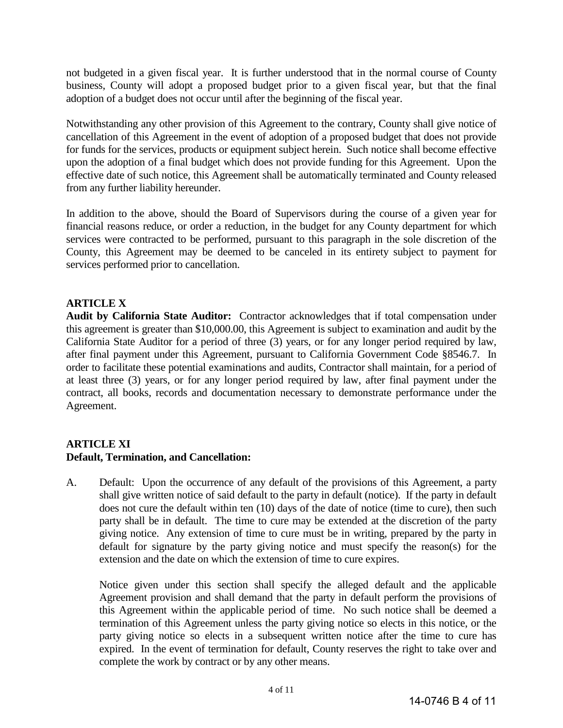not budgeted in a given fiscal year. It is further understood that in the normal course of County business, County will adopt a proposed budget prior to a given fiscal year, but that the final adoption of a budget does not occur until after the beginning of the fiscal year.

Notwithstanding any other provision of this Agreement to the contrary, County shall give notice of cancellation of this Agreement in the event of adoption of a proposed budget that does not provide for funds for the services, products or equipment subject herein. Such notice shall become effective upon the adoption of a final budget which does not provide funding for this Agreement. Upon the effective date of such notice, this Agreement shall be automatically terminated and County released from any further liability hereunder.

In addition to the above, should the Board of Supervisors during the course of a given year for financial reasons reduce, or order a reduction, in the budget for any County department for which services were contracted to be performed, pursuant to this paragraph in the sole discretion of the County, this Agreement may be deemed to be canceled in its entirety subject to payment for services performed prior to cancellation.

# **ARTICLE X**

**Audit by California State Auditor:** Contractor acknowledges that if total compensation under this agreement is greater than \$10,000.00, this Agreement is subject to examination and audit by the California State Auditor for a period of three (3) years, or for any longer period required by law, after final payment under this Agreement, pursuant to California Government Code §8546.7. In order to facilitate these potential examinations and audits, Contractor shall maintain, for a period of at least three (3) years, or for any longer period required by law, after final payment under the contract, all books, records and documentation necessary to demonstrate performance under the Agreement.

## **ARTICLE XI Default, Termination, and Cancellation:**

A. Default: Upon the occurrence of any default of the provisions of this Agreement, a party shall give written notice of said default to the party in default (notice). If the party in default does not cure the default within ten (10) days of the date of notice (time to cure), then such party shall be in default. The time to cure may be extended at the discretion of the party giving notice. Any extension of time to cure must be in writing, prepared by the party in default for signature by the party giving notice and must specify the reason(s) for the extension and the date on which the extension of time to cure expires.

Notice given under this section shall specify the alleged default and the applicable Agreement provision and shall demand that the party in default perform the provisions of this Agreement within the applicable period of time. No such notice shall be deemed a termination of this Agreement unless the party giving notice so elects in this notice, or the party giving notice so elects in a subsequent written notice after the time to cure has expired. In the event of termination for default, County reserves the right to take over and complete the work by contract or by any other means.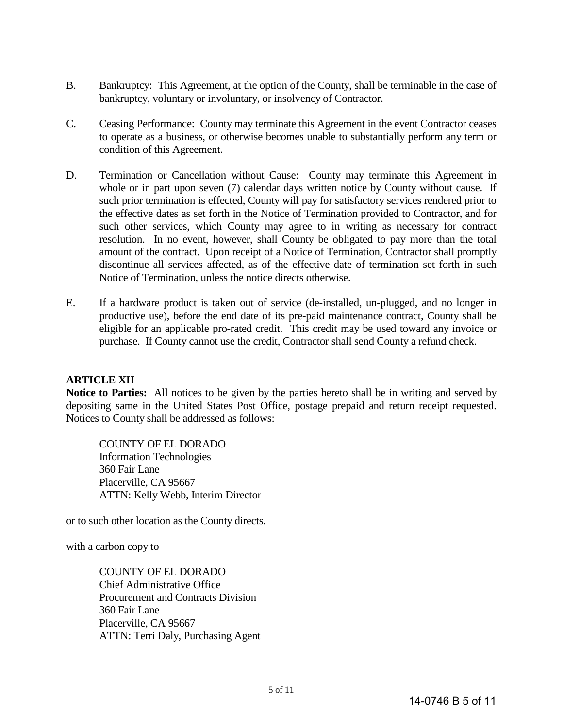- B. Bankruptcy: This Agreement, at the option of the County, shall be terminable in the case of bankruptcy, voluntary or involuntary, or insolvency of Contractor.
- C. Ceasing Performance: County may terminate this Agreement in the event Contractor ceases to operate as a business, or otherwise becomes unable to substantially perform any term or condition of this Agreement.
- D. Termination or Cancellation without Cause: County may terminate this Agreement in whole or in part upon seven (7) calendar days written notice by County without cause. If such prior termination is effected, County will pay for satisfactory services rendered prior to the effective dates as set forth in the Notice of Termination provided to Contractor, and for such other services, which County may agree to in writing as necessary for contract resolution. In no event, however, shall County be obligated to pay more than the total amount of the contract. Upon receipt of a Notice of Termination, Contractor shall promptly discontinue all services affected, as of the effective date of termination set forth in such Notice of Termination, unless the notice directs otherwise.
- E. If a hardware product is taken out of service (de-installed, un-plugged, and no longer in productive use), before the end date of its pre-paid maintenance contract, County shall be eligible for an applicable pro-rated credit. This credit may be used toward any invoice or purchase. If County cannot use the credit, Contractor shall send County a refund check.

## **ARTICLE XII**

**Notice to Parties:** All notices to be given by the parties hereto shall be in writing and served by depositing same in the United States Post Office, postage prepaid and return receipt requested. Notices to County shall be addressed as follows:

COUNTY OF EL DORADO Information Technologies 360 Fair Lane Placerville, CA 95667 ATTN: Kelly Webb, Interim Director

or to such other location as the County directs.

with a carbon copy to

COUNTY OF EL DORADO Chief Administrative Office Procurement and Contracts Division 360 Fair Lane Placerville, CA 95667 ATTN: Terri Daly, Purchasing Agent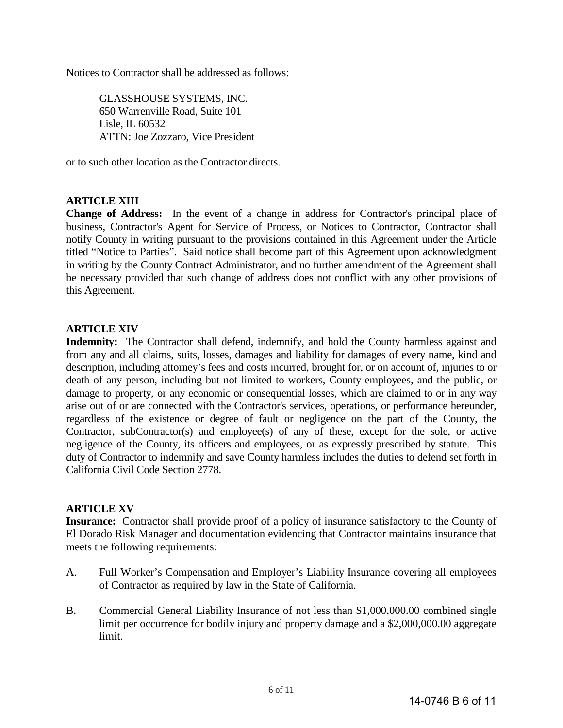Notices to Contractor shall be addressed as follows:

GLASSHOUSE SYSTEMS, INC. 650 Warrenville Road, Suite 101 Lisle, IL 60532 ATTN: Joe Zozzaro, Vice President

or to such other location as the Contractor directs.

### **ARTICLE XIII**

**Change of Address:** In the event of a change in address for Contractor's principal place of business, Contractor's Agent for Service of Process, or Notices to Contractor, Contractor shall notify County in writing pursuant to the provisions contained in this Agreement under the Article titled "Notice to Parties". Said notice shall become part of this Agreement upon acknowledgment in writing by the County Contract Administrator, and no further amendment of the Agreement shall be necessary provided that such change of address does not conflict with any other provisions of this Agreement.

### **ARTICLE XIV**

**Indemnity:** The Contractor shall defend, indemnify, and hold the County harmless against and from any and all claims, suits, losses, damages and liability for damages of every name, kind and description, including attorney's fees and costs incurred, brought for, or on account of, injuries to or death of any person, including but not limited to workers, County employees, and the public, or damage to property, or any economic or consequential losses, which are claimed to or in any way arise out of or are connected with the Contractor's services, operations, or performance hereunder, regardless of the existence or degree of fault or negligence on the part of the County, the Contractor, subContractor(s) and employee(s) of any of these, except for the sole, or active negligence of the County, its officers and employees, or as expressly prescribed by statute. This duty of Contractor to indemnify and save County harmless includes the duties to defend set forth in California Civil Code Section 2778.

### **ARTICLE XV**

**Insurance:** Contractor shall provide proof of a policy of insurance satisfactory to the County of El Dorado Risk Manager and documentation evidencing that Contractor maintains insurance that meets the following requirements:

- A. Full Worker's Compensation and Employer's Liability Insurance covering all employees of Contractor as required by law in the State of California.
- B. Commercial General Liability Insurance of not less than \$1,000,000.00 combined single limit per occurrence for bodily injury and property damage and a \$2,000,000.00 aggregate limit.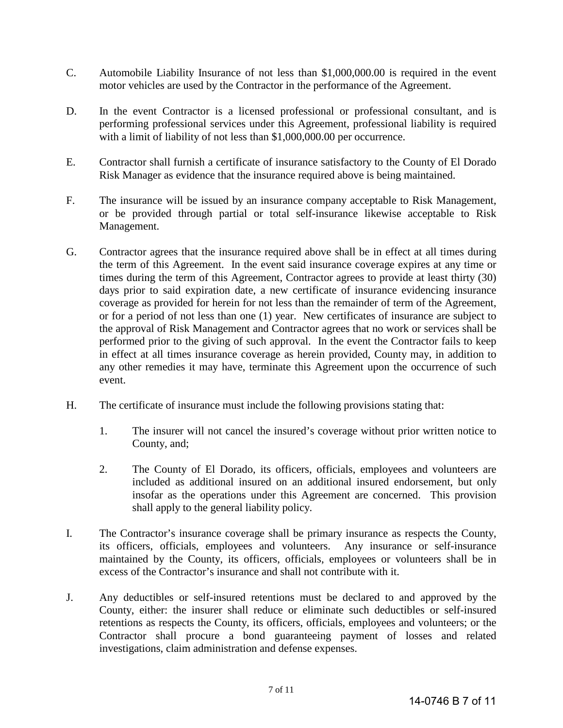- C. Automobile Liability Insurance of not less than \$1,000,000.00 is required in the event motor vehicles are used by the Contractor in the performance of the Agreement.
- D. In the event Contractor is a licensed professional or professional consultant, and is performing professional services under this Agreement, professional liability is required with a limit of liability of not less than \$1,000,000.00 per occurrence.
- E. Contractor shall furnish a certificate of insurance satisfactory to the County of El Dorado Risk Manager as evidence that the insurance required above is being maintained.
- F. The insurance will be issued by an insurance company acceptable to Risk Management, or be provided through partial or total self-insurance likewise acceptable to Risk Management.
- G. Contractor agrees that the insurance required above shall be in effect at all times during the term of this Agreement. In the event said insurance coverage expires at any time or times during the term of this Agreement, Contractor agrees to provide at least thirty (30) days prior to said expiration date, a new certificate of insurance evidencing insurance coverage as provided for herein for not less than the remainder of term of the Agreement, or for a period of not less than one (1) year. New certificates of insurance are subject to the approval of Risk Management and Contractor agrees that no work or services shall be performed prior to the giving of such approval. In the event the Contractor fails to keep in effect at all times insurance coverage as herein provided, County may, in addition to any other remedies it may have, terminate this Agreement upon the occurrence of such event.
- H. The certificate of insurance must include the following provisions stating that:
	- 1. The insurer will not cancel the insured's coverage without prior written notice to County, and;
	- 2. The County of El Dorado, its officers, officials, employees and volunteers are included as additional insured on an additional insured endorsement, but only insofar as the operations under this Agreement are concerned. This provision shall apply to the general liability policy.
- I. The Contractor's insurance coverage shall be primary insurance as respects the County, its officers, officials, employees and volunteers. Any insurance or self-insurance maintained by the County, its officers, officials, employees or volunteers shall be in excess of the Contractor's insurance and shall not contribute with it.
- J. Any deductibles or self-insured retentions must be declared to and approved by the County, either: the insurer shall reduce or eliminate such deductibles or self-insured retentions as respects the County, its officers, officials, employees and volunteers; or the Contractor shall procure a bond guaranteeing payment of losses and related investigations, claim administration and defense expenses.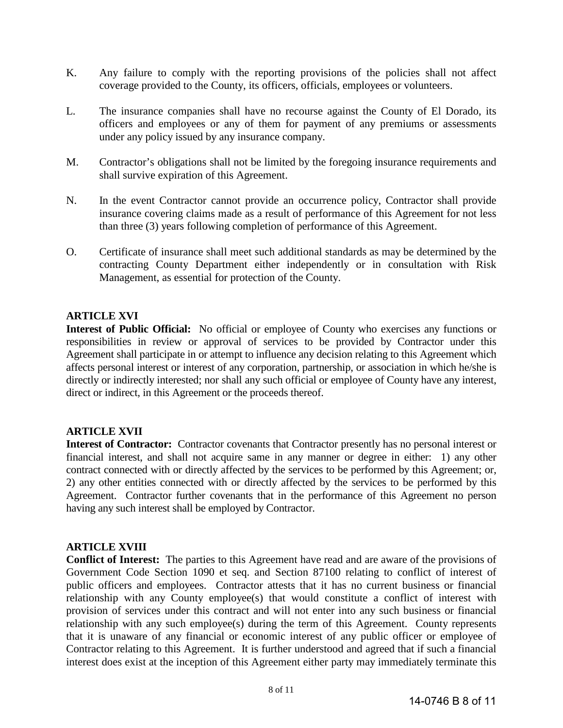- K. Any failure to comply with the reporting provisions of the policies shall not affect coverage provided to the County, its officers, officials, employees or volunteers.
- L. The insurance companies shall have no recourse against the County of El Dorado, its officers and employees or any of them for payment of any premiums or assessments under any policy issued by any insurance company.
- M. Contractor's obligations shall not be limited by the foregoing insurance requirements and shall survive expiration of this Agreement.
- N. In the event Contractor cannot provide an occurrence policy, Contractor shall provide insurance covering claims made as a result of performance of this Agreement for not less than three (3) years following completion of performance of this Agreement.
- O. Certificate of insurance shall meet such additional standards as may be determined by the contracting County Department either independently or in consultation with Risk Management, as essential for protection of the County.

### **ARTICLE XVI**

**Interest of Public Official:** No official or employee of County who exercises any functions or responsibilities in review or approval of services to be provided by Contractor under this Agreement shall participate in or attempt to influence any decision relating to this Agreement which affects personal interest or interest of any corporation, partnership, or association in which he/she is directly or indirectly interested; nor shall any such official or employee of County have any interest, direct or indirect, in this Agreement or the proceeds thereof.

### **ARTICLE XVII**

**Interest of Contractor:** Contractor covenants that Contractor presently has no personal interest or financial interest, and shall not acquire same in any manner or degree in either: 1) any other contract connected with or directly affected by the services to be performed by this Agreement; or, 2) any other entities connected with or directly affected by the services to be performed by this Agreement. Contractor further covenants that in the performance of this Agreement no person having any such interest shall be employed by Contractor.

### **ARTICLE XVIII**

**Conflict of Interest:** The parties to this Agreement have read and are aware of the provisions of Government Code Section 1090 et seq. and Section 87100 relating to conflict of interest of public officers and employees. Contractor attests that it has no current business or financial relationship with any County employee(s) that would constitute a conflict of interest with provision of services under this contract and will not enter into any such business or financial relationship with any such employee(s) during the term of this Agreement. County represents that it is unaware of any financial or economic interest of any public officer or employee of Contractor relating to this Agreement. It is further understood and agreed that if such a financial interest does exist at the inception of this Agreement either party may immediately terminate this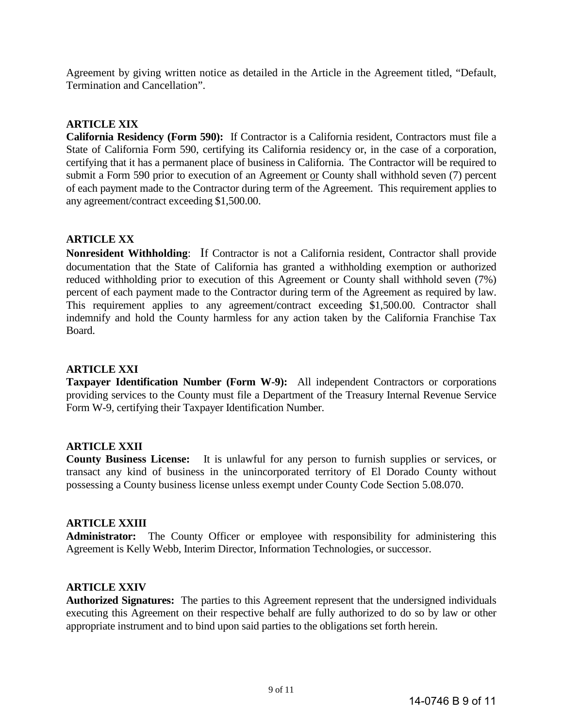Agreement by giving written notice as detailed in the Article in the Agreement titled, "Default, Termination and Cancellation".

### **ARTICLE XIX**

**California Residency (Form 590):** If Contractor is a California resident, Contractors must file a State of California Form 590, certifying its California residency or, in the case of a corporation, certifying that it has a permanent place of business in California. The Contractor will be required to submit a Form 590 prior to execution of an Agreement or County shall withhold seven (7) percent of each payment made to the Contractor during term of the Agreement. This requirement applies to any agreement/contract exceeding \$1,500.00.

## **ARTICLE XX**

**Nonresident Withholding**: If Contractor is not a California resident, Contractor shall provide documentation that the State of California has granted a withholding exemption or authorized reduced withholding prior to execution of this Agreement or County shall withhold seven (7%) percent of each payment made to the Contractor during term of the Agreement as required by law. This requirement applies to any agreement/contract exceeding \$1,500.00. Contractor shall indemnify and hold the County harmless for any action taken by the California Franchise Tax Board.

#### **ARTICLE XXI**

**Taxpayer Identification Number (Form W-9):** All independent Contractors or corporations providing services to the County must file a Department of the Treasury Internal Revenue Service Form W-9, certifying their Taxpayer Identification Number.

#### **ARTICLE XXII**

**County Business License:** It is unlawful for any person to furnish supplies or services, or transact any kind of business in the unincorporated territory of El Dorado County without possessing a County business license unless exempt under County Code Section 5.08.070.

### **ARTICLE XXIII**

**Administrator:** The County Officer or employee with responsibility for administering this Agreement is Kelly Webb, Interim Director, Information Technologies, or successor.

### **ARTICLE XXIV**

**Authorized Signatures:** The parties to this Agreement represent that the undersigned individuals executing this Agreement on their respective behalf are fully authorized to do so by law or other appropriate instrument and to bind upon said parties to the obligations set forth herein.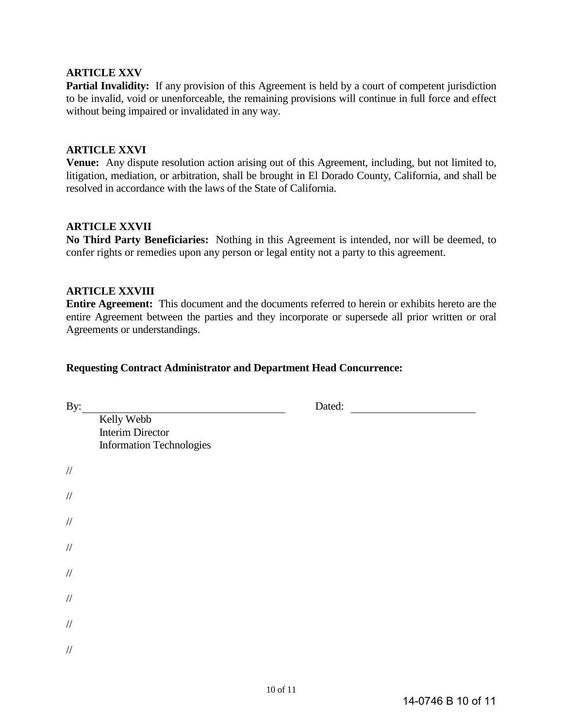### **ARTICLE XXV**

Partial Invalidity: If any provision of this Agreement is held by a court of competent jurisdiction to be invalid, void or unenforceable, the remaining provisions will continue in full force and effect without being impaired or invalidated in any way.

#### **ARTICLE XXVI**

**Venue:** Any dispute resolution action arising out of this Agreement, including, but not limited to, litigation, mediation, or arbitration, shall be brought in El Dorado County, California, and shall be resolved in accordance with the laws of the State of California.

### **ARTICLE XXVII**

**No Third Party Beneficiaries:** Nothing in this Agreement is intended, nor will be deemed, to confer rights or remedies upon any person or legal entity not a party to this agreement.

#### **ARTICLE XXVIII**

**Entire Agreement:** This document and the documents referred to herein or exhibits hereto are the entire Agreement between the parties and they incorporate or supersede all prior written or oral Agreements or understandings.

#### **Requesting Contract Administrator and Department Head Concurrence:**

| By:    |                                                                          | Dated: |
|--------|--------------------------------------------------------------------------|--------|
|        | Kelly Webb<br><b>Interim Director</b><br><b>Information Technologies</b> |        |
| $/\!/$ |                                                                          |        |
| $/\!/$ |                                                                          |        |
| $/\!/$ |                                                                          |        |
| $/\!/$ |                                                                          |        |
| $/\!/$ |                                                                          |        |
| $/\!/$ |                                                                          |        |
| $/\!/$ |                                                                          |        |
| $/\!/$ |                                                                          |        |